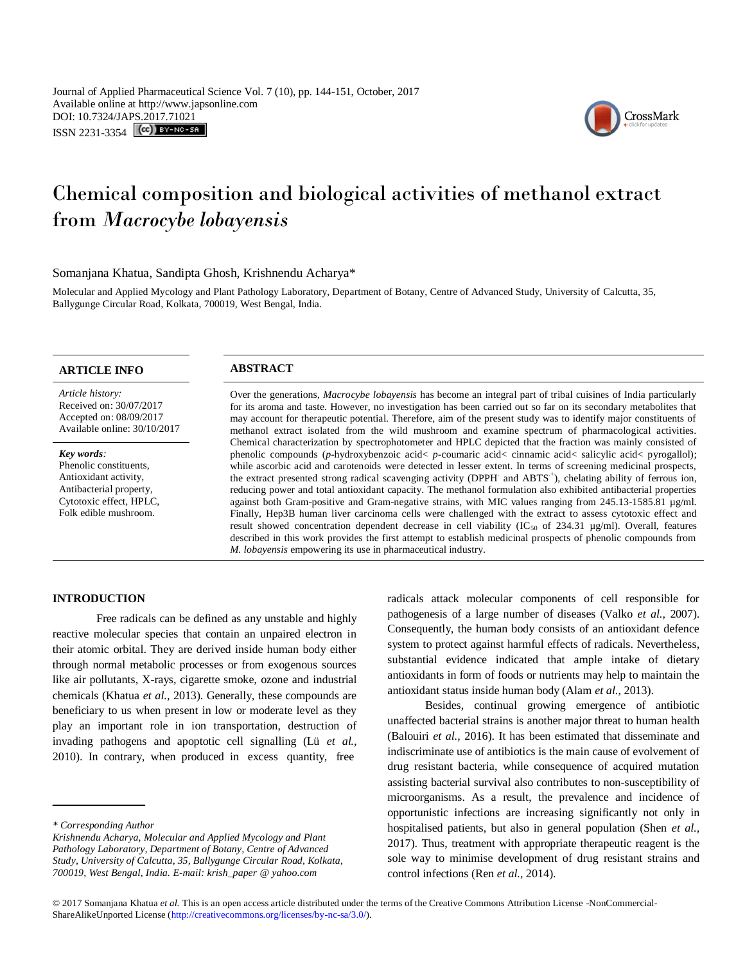

# Chemical composition and biological activities of methanol extract from *Macrocybe lobayensis*

Somanjana Khatua, Sandipta Ghosh, Krishnendu Acharya\*

Molecular and Applied Mycology and Plant Pathology Laboratory, Department of Botany, Centre of Advanced Study, University of Calcutta, 35, Ballygunge Circular Road, Kolkata, 700019, West Bengal, India.

| <b>ARTICLE INFO</b>                                                                                                                          | <b>ABSTRACT</b>                                                                                                                                                                                                                                                                                                                                                                                                                                                                                                                                                                                                                                                                                                                                                                                                                                                                                                                                                                                                                                                                                                               |
|----------------------------------------------------------------------------------------------------------------------------------------------|-------------------------------------------------------------------------------------------------------------------------------------------------------------------------------------------------------------------------------------------------------------------------------------------------------------------------------------------------------------------------------------------------------------------------------------------------------------------------------------------------------------------------------------------------------------------------------------------------------------------------------------------------------------------------------------------------------------------------------------------------------------------------------------------------------------------------------------------------------------------------------------------------------------------------------------------------------------------------------------------------------------------------------------------------------------------------------------------------------------------------------|
| Article history:<br>Received on: 30/07/2017<br>Accepted on: 08/09/2017<br>Available online: 30/10/2017                                       | Over the generations, <i>Macrocybe lobayensis</i> has become an integral part of tribal cuisines of India particularly<br>for its aroma and taste. However, no investigation has been carried out so far on its secondary metabolites that<br>may account for therapeutic potential. Therefore, aim of the present study was to identify major constituents of<br>methanol extract isolated from the wild mushroom and examine spectrum of pharmacological activities.                                                                                                                                                                                                                                                                                                                                                                                                                                                                                                                                                                                                                                                        |
| Key words:<br>Phenolic constituents.<br>Antioxidant activity,<br>Antibacterial property,<br>Cytotoxic effect, HPLC,<br>Folk edible mushroom. | Chemical characterization by spectrophotometer and HPLC depicted that the fraction was mainly consisted of<br>phenolic compounds (p-hydroxybenzoic acid< p-coumaric acid< cinnamic acid< salicylic acid< pyrogallol);<br>while ascorbic acid and carotenoids were detected in lesser extent. In terms of screening medicinal prospects,<br>the extract presented strong radical scavenging activity (DPPH and ABTS <sup>+</sup> ), chelating ability of ferrous ion,<br>reducing power and total antioxidant capacity. The methanol formulation also exhibited antibacterial properties<br>against both Gram-positive and Gram-negative strains, with MIC values ranging from 245.13-1585.81 µg/ml.<br>Finally, Hep3B human liver carcinoma cells were challenged with the extract to assess cytotoxic effect and<br>result showed concentration dependent decrease in cell viability (IC $_{50}$ of 234.31 µg/ml). Overall, features<br>described in this work provides the first attempt to establish medicinal prospects of phenolic compounds from<br><i>M. lobayensis</i> empowering its use in pharmaceutical industry. |

# **INTRODUCTION**

Free radicals can be defined as any unstable and highly reactive molecular species that contain an unpaired electron in their atomic orbital. They are derived inside human body either through normal metabolic processes or from exogenous sources like air pollutants, X-rays, cigarette smoke, ozone and industrial chemicals (Khatua *et al.,* 2013). Generally, these compounds are beneficiary to us when present in low or moderate level as they play an important role in ion transportation, destruction of invading pathogens and apoptotic cell signalling (Lü *et al.,* 2010). In contrary, when produced in excess quantity, free

radicals attack molecular components of cell responsible for pathogenesis of a large number of diseases (Valko *et al.,* 2007). Consequently, the human body consists of an antioxidant defence system to protect against harmful effects of radicals. Nevertheless, substantial evidence indicated that ample intake of dietary antioxidants in form of foods or nutrients may help to maintain the antioxidant status inside human body (Alam *et al.,* 2013).

 Besides, continual growing emergence of antibiotic unaffected bacterial strains is another major threat to human health (Balouiri *et al.,* 2016). It has been estimated that disseminate and indiscriminate use of antibiotics is the main cause of evolvement of drug resistant bacteria, while consequence of acquired mutation assisting bacterial survival also contributes to non-susceptibility of microorganisms. As a result, the prevalence and incidence of opportunistic infections are increasing significantly not only in hospitalised patients, but also in general population (Shen *et al.,* 2017). Thus, treatment with appropriate therapeutic reagent is the sole way to minimise development of drug resistant strains and control infections (Ren *et al.,* 2014).

*<sup>\*</sup> Corresponding Author*

*Krishnendu Acharya, Molecular and Applied Mycology and Plant Pathology Laboratory, Department of Botany, Centre of Advanced Study, University of Calcutta, 35, Ballygunge Circular Road, Kolkata, 700019, West Bengal, India. E-mail: krish\_paper @ yahoo.com*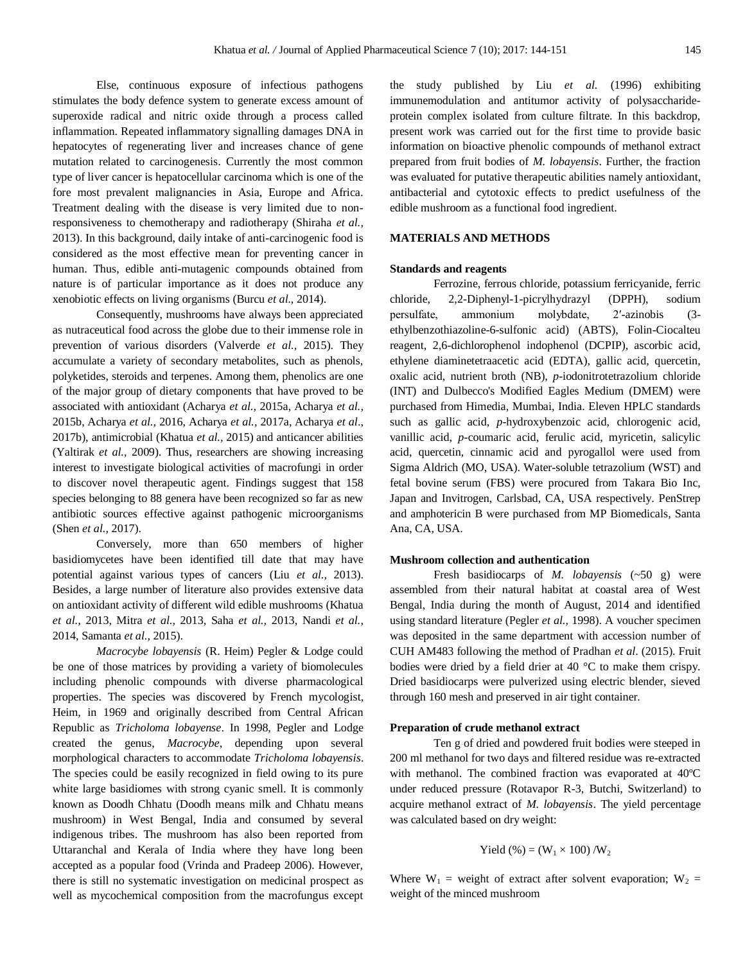Else, continuous exposure of infectious pathogens stimulates the body defence system to generate excess amount of superoxide radical and nitric oxide through a process called inflammation. Repeated inflammatory signalling damages DNA in hepatocytes of regenerating liver and increases chance of gene mutation related to carcinogenesis. Currently the most common type of liver cancer is hepatocellular carcinoma which is one of the fore most prevalent malignancies in Asia, Europe and Africa. Treatment dealing with the disease is very limited due to nonresponsiveness to chemotherapy and radiotherapy (Shiraha *et al.,* 2013). In this background, daily intake of anti-carcinogenic food is considered as the most effective mean for preventing cancer in human. Thus, edible anti-mutagenic compounds obtained from nature is of particular importance as it does not produce any xenobiotic effects on living organisms (Burcu *et al.,* 2014).

Consequently, mushrooms have always been appreciated as nutraceutical food across the globe due to their immense role in prevention of various disorders (Valverde *et al.,* 2015). They accumulate a variety of secondary metabolites, such as phenols, polyketides, steroids and terpenes. Among them, phenolics are one of the major group of dietary components that have proved to be associated with antioxidant (Acharya *et al.,* 2015a, Acharya *et al.,* 2015b, Acharya *et al.,* 2016, Acharya *et al.,* 2017a, Acharya *et al*., 2017b), antimicrobial (Khatua *et al.,* 2015) and anticancer abilities (Yaltirak *et al.,* 2009). Thus, researchers are showing increasing interest to investigate biological activities of macrofungi in order to discover novel therapeutic agent. Findings suggest that 158 species belonging to 88 genera have been recognized so far as new antibiotic sources effective against pathogenic microorganisms (Shen *et al.,* 2017).

Conversely, more than 650 members of higher basidiomycetes have been identified till date that may have potential against various types of cancers (Liu *et al.,* 2013). Besides, a large number of literature also provides extensive data on antioxidant activity of different wild edible mushrooms (Khatua *et al.,* 2013, Mitra *et al.,* 2013, Saha *et al.,* 2013, Nandi *et al.,* 2014, Samanta *et al.,* 2015).

*Macrocybe lobayensis* (R. Heim) Pegler & Lodge could be one of those matrices by providing a variety of biomolecules including phenolic compounds with diverse pharmacological properties. The species was discovered by French mycologist, Heim, in 1969 and originally described from Central African Republic as *Tricholoma lobayense*. In 1998, Pegler and Lodge created the genus, *Macrocybe*, depending upon several morphological characters to accommodate *Tricholoma lobayensis*. The species could be easily recognized in field owing to its pure white large basidiomes with strong cyanic smell. It is commonly known as Doodh Chhatu (Doodh means milk and Chhatu means mushroom) in West Bengal, India and consumed by several indigenous tribes. The mushroom has also been reported from Uttaranchal and Kerala of India where they have long been accepted as a popular food (Vrinda and Pradeep 2006). However, there is still no systematic investigation on medicinal prospect as well as mycochemical composition from the macrofungus except the study published by Liu *et al.* (1996) exhibiting immunemodulation and antitumor activity of polysaccharideprotein complex isolated from culture filtrate. In this backdrop, present work was carried out for the first time to provide basic information on bioactive phenolic compounds of methanol extract prepared from fruit bodies of *M. lobayensis*. Further, the fraction was evaluated for putative therapeutic abilities namely antioxidant, antibacterial and cytotoxic effects to predict usefulness of the edible mushroom as a functional food ingredient.

## **MATERIALS AND METHODS**

#### **Standards and reagents**

Ferrozine, ferrous chloride, potassium ferricyanide, ferric chloride, 2,2-Diphenyl-1-picrylhydrazyl (DPPH), sodium persulfate, ammonium molybdate, 2′-azinobis (3 ethylbenzothiazoline-6-sulfonic acid) (ABTS), Folin-Ciocalteu reagent, 2,6-dichlorophenol indophenol (DCPIP), ascorbic acid, ethylene diaminetetraacetic acid (EDTA), gallic acid, quercetin, oxalic acid, nutrient broth (NB), *p*-iodonitrotetrazolium chloride (INT) and Dulbecco's Modified Eagles Medium (DMEM) were purchased from Himedia, Mumbai, India. Eleven HPLC standards such as gallic acid, *p*-hydroxybenzoic acid, chlorogenic acid, vanillic acid, *p*-coumaric acid, ferulic acid, myricetin, salicylic acid, quercetin, cinnamic acid and pyrogallol were used from Sigma Aldrich (MO, USA). Water-soluble tetrazolium (WST) and fetal bovine serum (FBS) were procured from Takara Bio Inc, Japan and Invitrogen, Carlsbad, CA, USA respectively. PenStrep and amphotericin B were purchased from MP Biomedicals, Santa Ana, CA, USA.

#### **Mushroom collection and authentication**

Fresh basidiocarps of *M. lobayensis* (~50 g) were assembled from their natural habitat at coastal area of West Bengal, India during the month of August, 2014 and identified using standard literature (Pegler *et al.,* 1998). A voucher specimen was deposited in the same department with accession number of CUH AM483 following the method of Pradhan *et al*. (2015). Fruit bodies were dried by a field drier at 40 °C to make them crispy. Dried basidiocarps were pulverized using electric blender, sieved through 160 mesh and preserved in air tight container.

#### **Preparation of crude methanol extract**

Ten g of dried and powdered fruit bodies were steeped in 200 ml methanol for two days and filtered residue was re-extracted with methanol. The combined fraction was evaporated at 40ºC under reduced pressure (Rotavapor R-3, Butchi, Switzerland) to acquire methanol extract of *M. lobayensis*. The yield percentage was calculated based on dry weight:

Yield (
$$
\%
$$
) = ( $W_1 \times 100$ ) / $W_2$ 

Where  $W_1$  = weight of extract after solvent evaporation;  $W_2$  = weight of the minced mushroom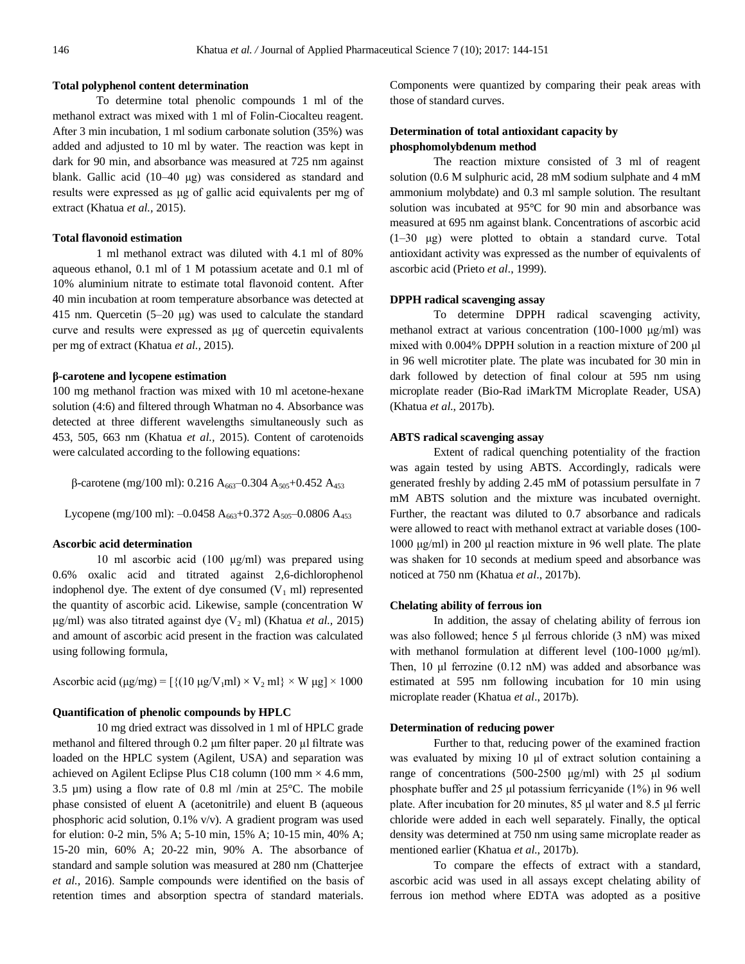#### **Total polyphenol content determination**

To determine total phenolic compounds 1 ml of the methanol extract was mixed with 1 ml of Folin-Ciocalteu reagent. After 3 min incubation, 1 ml sodium carbonate solution (35%) was added and adjusted to 10 ml by water. The reaction was kept in dark for 90 min, and absorbance was measured at 725 nm against blank. Gallic acid (10–40 μg) was considered as standard and results were expressed as μg of gallic acid equivalents per mg of extract (Khatua *et al.,* 2015).

## **Total flavonoid estimation**

1 ml methanol extract was diluted with 4.1 ml of 80% aqueous ethanol, 0.1 ml of 1 M potassium acetate and 0.1 ml of 10% aluminium nitrate to estimate total flavonoid content. After 40 min incubation at room temperature absorbance was detected at 415 nm. Quercetin (5–20 μg) was used to calculate the standard curve and results were expressed as μg of quercetin equivalents per mg of extract (Khatua *et al.,* 2015).

## **β-carotene and lycopene estimation**

100 mg methanol fraction was mixed with 10 ml acetone-hexane solution (4:6) and filtered through Whatman no 4. Absorbance was detected at three different wavelengths simultaneously such as 453, 505, 663 nm (Khatua *et al.,* 2015). Content of carotenoids were calculated according to the following equations:

β-carotene (mg/100 ml): 0.216 A<sub>663</sub>-0.304 A<sub>505</sub>+0.452 A<sub>453</sub>

Lycopene (mg/100 ml):  $-0.0458$  A<sub>663</sub>+0.372 A<sub>505</sub>-0.0806 A<sub>453</sub>

## **Ascorbic acid determination**

10 ml ascorbic acid (100 μg/ml) was prepared using 0.6% oxalic acid and titrated against 2,6-dichlorophenol indophenol dye. The extent of dye consumed  $(V_1 \text{ ml})$  represented the quantity of ascorbic acid. Likewise, sample (concentration W μg/ml) was also titrated against dye  $(V_2$  ml) (Khatua *et al.*, 2015) and amount of ascorbic acid present in the fraction was calculated using following formula,

Ascorbic acid (μg/mg) =  $[{(10 \mu g/V_1ml) \times V_2 ml} \times W \mu g] \times 1000$ 

# **Quantification of phenolic compounds by HPLC**

10 mg dried extract was dissolved in 1 ml of HPLC grade methanol and filtered through 0.2 μm filter paper. 20 µl filtrate was loaded on the HPLC system (Agilent, USA) and separation was achieved on Agilent Eclipse Plus C18 column (100 mm  $\times$  4.6 mm, 3.5  $\mu$ m) using a flow rate of 0.8 ml /min at 25 $^{\circ}$ C. The mobile phase consisted of eluent A (acetonitrile) and eluent B (aqueous phosphoric acid solution, 0.1% v/v). A gradient program was used for elution: 0-2 min, 5% A; 5-10 min, 15% A; 10-15 min, 40% A; 15-20 min, 60% A; 20-22 min, 90% A. The absorbance of standard and sample solution was measured at 280 nm (Chatterjee *et al.,* 2016). Sample compounds were identified on the basis of retention times and absorption spectra of standard materials.

Components were quantized by comparing their peak areas with those of standard curves.

# **Determination of total antioxidant capacity by phosphomolybdenum method**

The reaction mixture consisted of 3 ml of reagent solution (0.6 M sulphuric acid, 28 mM sodium sulphate and 4 mM ammonium molybdate) and 0.3 ml sample solution. The resultant solution was incubated at 95°C for 90 min and absorbance was measured at 695 nm against blank. Concentrations of ascorbic acid (1–30 μg) were plotted to obtain a standard curve. Total antioxidant activity was expressed as the number of equivalents of ascorbic acid (Prieto *et al*., 1999).

# **DPPH radical scavenging assay**

To determine DPPH radical scavenging activity, methanol extract at various concentration (100-1000 μg/ml) was mixed with 0.004% DPPH solution in a reaction mixture of 200 μl in 96 well microtiter plate. The plate was incubated for 30 min in dark followed by detection of final colour at 595 nm using microplate reader (Bio-Rad iMarkTM Microplate Reader, USA) (Khatua *et al*., 2017b).

### **ABTS radical scavenging assay**

Extent of radical quenching potentiality of the fraction was again tested by using ABTS. Accordingly, radicals were generated freshly by adding 2.45 mM of potassium persulfate in 7 mM ABTS solution and the mixture was incubated overnight. Further, the reactant was diluted to 0.7 absorbance and radicals were allowed to react with methanol extract at variable doses (100- 1000 μg/ml) in 200 μl reaction mixture in 96 well plate. The plate was shaken for 10 seconds at medium speed and absorbance was noticed at 750 nm (Khatua *et al*., 2017b).

# **Chelating ability of ferrous ion**

In addition, the assay of chelating ability of ferrous ion was also followed; hence 5 μl ferrous chloride (3 nM) was mixed with methanol formulation at different level (100-1000 μg/ml). Then, 10 μl ferrozine (0.12 nM) was added and absorbance was estimated at 595 nm following incubation for 10 min using microplate reader (Khatua *et al*., 2017b).

## **Determination of reducing power**

Further to that, reducing power of the examined fraction was evaluated by mixing 10 μl of extract solution containing a range of concentrations (500-2500 μg/ml) with 25 μl sodium phosphate buffer and 25 μl potassium ferricyanide (1%) in 96 well plate. After incubation for 20 minutes, 85 μl water and 8.5 μl ferric chloride were added in each well separately. Finally, the optical density was determined at 750 nm using same microplate reader as mentioned earlier (Khatua *et al*., 2017b).

To compare the effects of extract with a standard, ascorbic acid was used in all assays except chelating ability of ferrous ion method where EDTA was adopted as a positive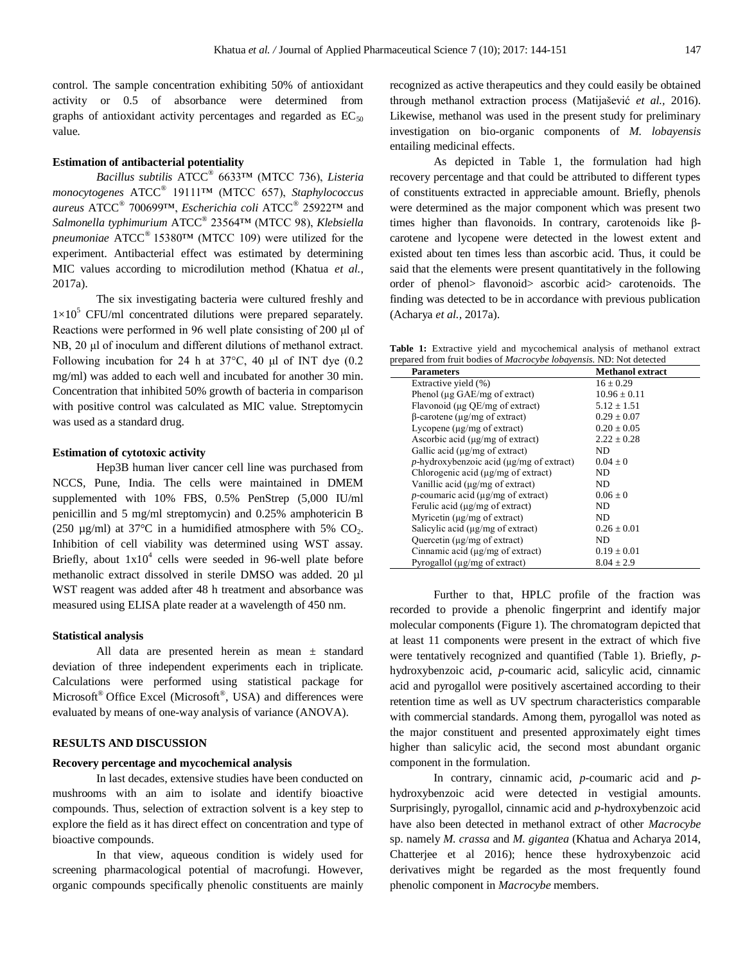control. The sample concentration exhibiting 50% of antioxidant activity or 0.5 of absorbance were determined from graphs of antioxidant activity percentages and regarded as  $EC_{50}$ value.

# **Estimation of antibacterial potentiality**

*Bacillus subtilis* ATCC® 6633™ (MTCC 736), *Listeria monocytogenes* ATCC® 19111™ (MTCC 657), *Staphylococcus aureus* ATCC® 700699™, *Escherichia coli* ATCC® 25922™ and *Salmonella typhimurium* ATCC® 23564™ (MTCC 98), *Klebsiella pneumoniae* ATCC® 15380™ (MTCC 109) were utilized for the experiment. Antibacterial effect was estimated by determining MIC values according to microdilution method (Khatua *et al.,* 2017a).

The six investigating bacteria were cultured freshly and  $1\times10^5$  CFU/ml concentrated dilutions were prepared separately. Reactions were performed in 96 well plate consisting of 200 μl of NB, 20 μl of inoculum and different dilutions of methanol extract. Following incubation for 24 h at 37°C, 40 μl of INT dye (0.2 mg/ml) was added to each well and incubated for another 30 min. Concentration that inhibited 50% growth of bacteria in comparison with positive control was calculated as MIC value. Streptomycin was used as a standard drug.

#### **Estimation of cytotoxic activity**

Hep3B human liver cancer cell line was purchased from NCCS, Pune, India. The cells were maintained in DMEM supplemented with 10% FBS, 0.5% PenStrep (5,000 IU/ml penicillin and 5 mg/ml streptomycin) and 0.25% amphotericin B (250  $\mu$ g/ml) at 37°C in a humidified atmosphere with 5% CO<sub>2</sub>. Inhibition of cell viability was determined using WST assay. Briefly, about  $1x10^4$  cells were seeded in 96-well plate before methanolic extract dissolved in sterile DMSO was added. 20 µl WST reagent was added after 48 h treatment and absorbance was measured using ELISA plate reader at a wavelength of 450 nm.

# **Statistical analysis**

All data are presented herein as mean ± standard deviation of three independent experiments each in triplicate. Calculations were performed using statistical package for Microsoft<sup>®</sup> Office Excel (Microsoft<sup>®</sup>, USA) and differences were evaluated by means of one-way analysis of variance (ANOVA).

# **RESULTS AND DISCUSSION**

## **Recovery percentage and mycochemical analysis**

In last decades, extensive studies have been conducted on mushrooms with an aim to isolate and identify bioactive compounds. Thus, selection of extraction solvent is a key step to explore the field as it has direct effect on concentration and type of bioactive compounds.

In that view, aqueous condition is widely used for screening pharmacological potential of macrofungi. However, organic compounds specifically phenolic constituents are mainly recognized as active therapeutics and they could easily be obtained through methanol extraction process (Matijašević *et al.,* 2016). Likewise, methanol was used in the present study for preliminary investigation on bio-organic components of *M. lobayensis* entailing medicinal effects.

As depicted in Table 1, the formulation had high recovery percentage and that could be attributed to different types of constituents extracted in appreciable amount. Briefly, phenols were determined as the major component which was present two times higher than flavonoids. In contrary, carotenoids like βcarotene and lycopene were detected in the lowest extent and existed about ten times less than ascorbic acid. Thus, it could be said that the elements were present quantitatively in the following order of phenol> flavonoid> ascorbic acid> carotenoids. The finding was detected to be in accordance with previous publication (Acharya *et al.,* 2017a).

**Table 1:** Extractive yield and mycochemical analysis of methanol extract prepared from fruit bodies of *Macrocybe lobayensis.* ND: Not detected

| <b>Parameters</b>                                 | <b>Methanol extract</b> |
|---------------------------------------------------|-------------------------|
| Extractive yield (%)                              | $16 + 0.29$             |
| Phenol ( $\mu$ g GAE/mg of extract)               | $10.96 \pm 0.11$        |
| Flavonoid ( $\mu$ g QE/mg of extract)             | $5.12 \pm 1.51$         |
| $\beta$ -carotene ( $\mu$ g/mg of extract)        | $0.29 \pm 0.07$         |
| Lycopene $(\mu g/mg)$ of extract)                 | $0.20 \pm 0.05$         |
| Ascorbic acid ( $\mu$ g/mg of extract)            | $2.22 \pm 0.28$         |
| Gallic acid ( $\mu$ g/mg of extract)              | ND                      |
| $p$ -hydroxybenzoic acid ( $\mu$ g/mg of extract) | $0.04 \pm 0$            |
| Chlorogenic acid $(\mu g/mg)$ of extract)         | ND                      |
| Vanillic acid $(\mu g/mg)$ of extract)            | ND.                     |
| p-coumaric acid ( $\mu$ g/mg of extract)          | $0.06 \pm 0$            |
| Ferulic acid ( $\mu$ g/mg of extract)             | ND                      |
| Myricetin $(\mu g/mg)$ of extract)                | ND.                     |
| Salicylic acid $(\mu g/mg)$ of extract)           | $0.26 \pm 0.01$         |
| Quercetin $(\mu g/mg)$ of extract)                | ND                      |
| Cinnamic acid $(\mu g/mg)$ of extract)            | $0.19 \pm 0.01$         |
| Pyrogallol $(\mu g/mg)$ of extract)               | $8.04 \pm 2.9$          |

Further to that, HPLC profile of the fraction was recorded to provide a phenolic fingerprint and identify major molecular components (Figure 1). The chromatogram depicted that at least 11 components were present in the extract of which five were tentatively recognized and quantified (Table 1). Briefly, *p*hydroxybenzoic acid, *p*-coumaric acid, salicylic acid, cinnamic acid and pyrogallol were positively ascertained according to their retention time as well as UV spectrum characteristics comparable with commercial standards. Among them, pyrogallol was noted as the major constituent and presented approximately eight times higher than salicylic acid, the second most abundant organic component in the formulation.

In contrary, cinnamic acid, *p*-coumaric acid and *p*hydroxybenzoic acid were detected in vestigial amounts. Surprisingly, pyrogallol, cinnamic acid and *p*-hydroxybenzoic acid have also been detected in methanol extract of other *Macrocybe*  sp. namely *M. crassa* and *M. gigantea* (Khatua and Acharya 2014, Chatterjee et al 2016); hence these hydroxybenzoic acid derivatives might be regarded as the most frequently found phenolic component in *Macrocybe* members.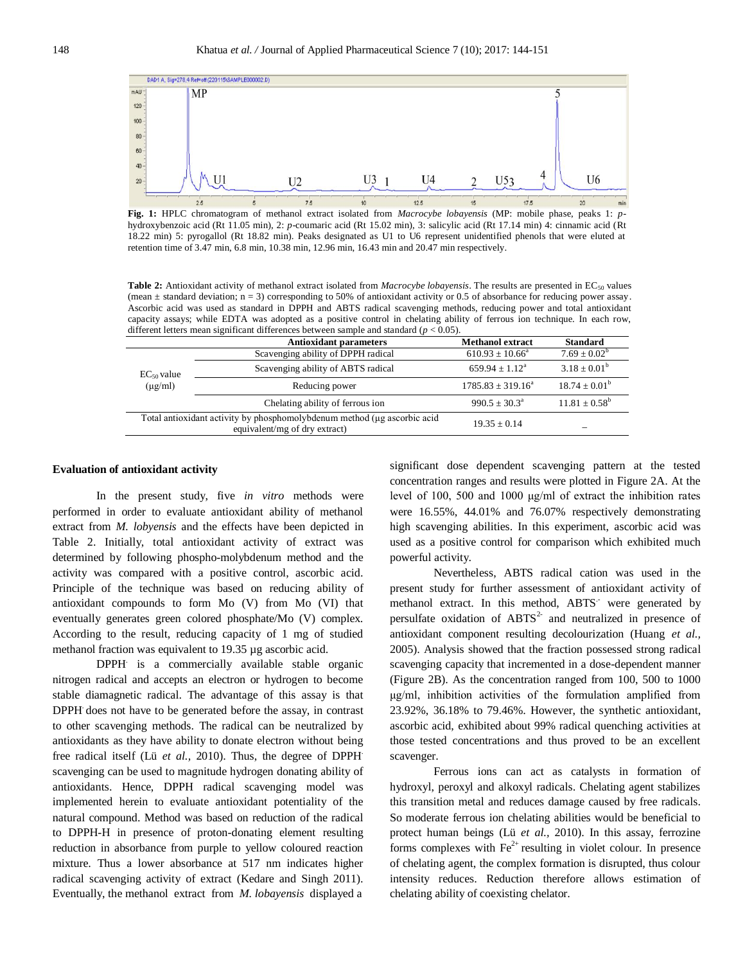

**Fig. 1:** HPLC chromatogram of methanol extract isolated from *Macrocybe lobayensis* (MP: mobile phase, peaks 1: *p*hydroxybenzoic acid (Rt 11.05 min), 2: *p*-coumaric acid (Rt 15.02 min), 3: salicylic acid (Rt 17.14 min) 4: cinnamic acid (Rt 18.22 min) 5: pyrogallol (Rt 18.82 min). Peaks designated as U1 to U6 represent unidentified phenols that were eluted at retention time of 3.47 min, 6.8 min, 10.38 min, 12.96 min, 16.43 min and 20.47 min respectively.

**Table 2:** Antioxidant activity of methanol extract isolated from *Macrocybe lobayensis*. The results are presented in EC<sub>50</sub> values (mean  $\pm$  standard deviation; n = 3) corresponding to 50% of antioxidant activity or 0.5 of absorbance for reducing power assay. Ascorbic acid was used as standard in DPPH and ABTS radical scavenging methods, reducing power and total antioxidant capacity assays; while EDTA was adopted as a positive control in chelating ability of ferrous ion technique. In each row, different letters mean significant differences between sample and standard ( $p < 0.05$ ).

| <b>Antioxidant parameters</b>                                                                             | <b>Methanol extract</b>      | <b>Standard</b>          |
|-----------------------------------------------------------------------------------------------------------|------------------------------|--------------------------|
| Scavenging ability of DPPH radical                                                                        | $610.93 \pm 10.66^a$         | $7.69 \pm 0.02^b$        |
| Scavenging ability of ABTS radical                                                                        | $659.94 \pm 1.12^{\text{a}}$ | $3.18 \pm 0.01^b$        |
| Reducing power                                                                                            | $1785.83 \pm 319.16^a$       | $18.74 \pm 0.01^{\rm b}$ |
| Chelating ability of ferrous ion                                                                          | $990.5 \pm 30.3^{\circ}$     | $11.81 \pm 0.58^{\rm b}$ |
| Total antioxidant activity by phosphomolybdenum method (µg ascorbic acid<br>equivalent/mg of dry extract) |                              |                          |
|                                                                                                           |                              | $19.35 + 0.14$           |

## **Evaluation of antioxidant activity**

In the present study, five *in vitro* methods were performed in order to evaluate antioxidant ability of methanol extract from *M. lobyensis* and the effects have been depicted in Table 2. Initially, total antioxidant activity of extract was determined by following phospho-molybdenum method and the activity was compared with a positive control, ascorbic acid. Principle of the technique was based on reducing ability of antioxidant compounds to form Mo (V) from Mo (VI) that eventually generates green colored phosphate/Mo (V) complex. According to the result, reducing capacity of 1 mg of studied methanol fraction was equivalent to 19.35 µg ascorbic acid.

DPPH. is a commercially available stable organic nitrogen radical and accepts an electron or hydrogen to become stable diamagnetic radical. The advantage of this assay is that DPPH. does not have to be generated before the assay, in contrast to other scavenging methods. The radical can be neutralized by antioxidants as they have ability to donate electron without being free radical itself (Lü *et al.,* 2010). Thus, the degree of DPPH. scavenging can be used to magnitude hydrogen donating ability of antioxidants. Hence, DPPH radical scavenging model was implemented herein to evaluate antioxidant potentiality of the natural compound. Method was based on reduction of the radical to DPPH-H in presence of proton-donating element resulting reduction in absorbance from purple to yellow coloured reaction mixture. Thus a lower absorbance at 517 nm indicates higher radical scavenging activity of extract (Kedare and Singh 2011). Eventually, the methanol extract from *M. lobayensis* displayed a

significant dose dependent scavenging pattern at the tested concentration ranges and results were plotted in Figure 2A. At the level of 100, 500 and 1000 μg/ml of extract the inhibition rates were 16.55%, 44.01% and 76.07% respectively demonstrating high scavenging abilities. In this experiment, ascorbic acid was used as a positive control for comparison which exhibited much powerful activity.

Nevertheless, ABTS radical cation was used in the present study for further assessment of antioxidant activity of methanol extract. In this method, ABTS<sup>-</sup> were generated by persulfate oxidation of  $ABTS<sup>2</sup>$  and neutralized in presence of antioxidant component resulting decolourization (Huang *et al.,* 2005). Analysis showed that the fraction possessed strong radical scavenging capacity that incremented in a dose-dependent manner (Figure 2B). As the concentration ranged from 100, 500 to 1000 μg/ml, inhibition activities of the formulation amplified from 23.92%, 36.18% to 79.46%. However, the synthetic antioxidant, ascorbic acid, exhibited about 99% radical quenching activities at those tested concentrations and thus proved to be an excellent scavenger.

Ferrous ions can act as catalysts in formation of hydroxyl, peroxyl and alkoxyl radicals. Chelating agent stabilizes this transition metal and reduces damage caused by free radicals. So moderate ferrous ion chelating abilities would be beneficial to protect human beings (Lü *et al.,* 2010). In this assay, ferrozine forms complexes with  $Fe^{2+}$  resulting in violet colour. In presence of chelating agent, the complex formation is disrupted, thus colour intensity reduces. Reduction therefore allows estimation of chelating ability of coexisting chelator.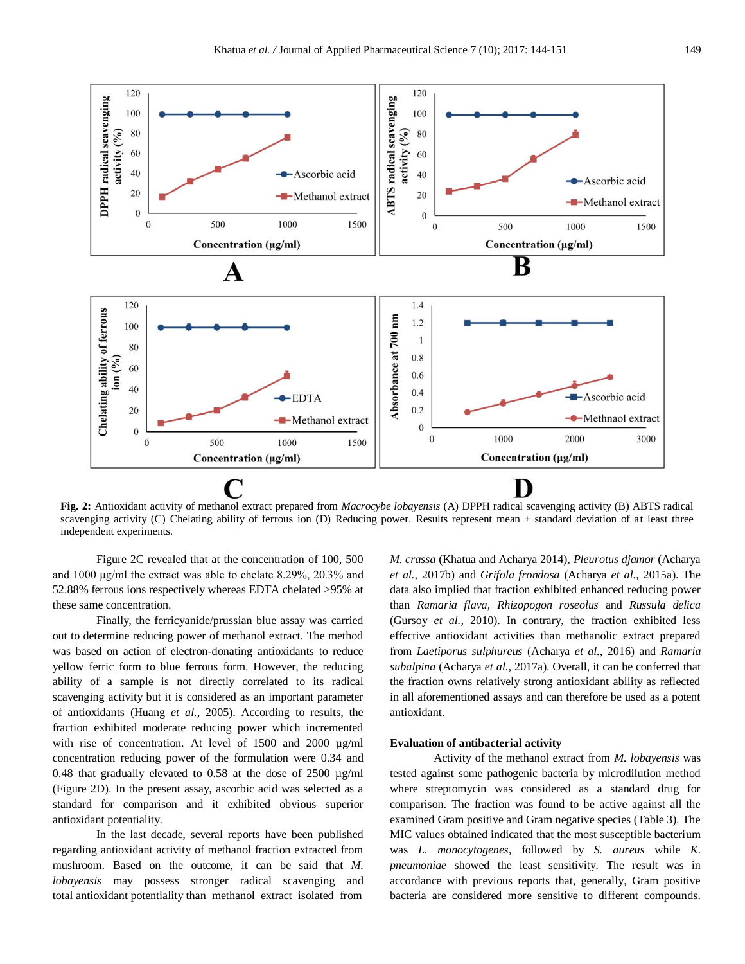

**Fig. 2:** Antioxidant activity of methanol extract prepared from *Macrocybe lobayensis* (A) DPPH radical scavenging activity (B) ABTS radical scavenging activity (C) Chelating ability of ferrous ion (D) Reducing power. Results represent mean  $\pm$  standard deviation of at least three independent experiments.

Figure 2C revealed that at the concentration of 100, 500 and 1000 μg/ml the extract was able to chelate 8.29%, 20.3% and 52.88% ferrous ions respectively whereas EDTA chelated >95% at these same concentration.

Finally, the ferricyanide/prussian blue assay was carried out to determine reducing power of methanol extract. The method was based on action of electron-donating antioxidants to reduce yellow ferric form to blue ferrous form. However, the reducing ability of a sample is not directly correlated to its radical scavenging activity but it is considered as an important parameter of antioxidants (Huang *et al.,* 2005). According to results, the fraction exhibited moderate reducing power which incremented with rise of concentration. At level of 1500 and 2000  $\mu$ g/ml concentration reducing power of the formulation were 0.34 and 0.48 that gradually elevated to 0.58 at the dose of 2500 µg/ml (Figure 2D). In the present assay, ascorbic acid was selected as a standard for comparison and it exhibited obvious superior antioxidant potentiality.

In the last decade, several reports have been published regarding antioxidant activity of methanol fraction extracted from mushroom. Based on the outcome, it can be said that *M. lobayensis* may possess stronger radical scavenging and total antioxidant potentiality than methanol extract isolated from

*M. crassa* (Khatua and Acharya 2014), *Pleurotus djamor* (Acharya *et al.,* 2017b) and *Grifola frondosa* (Acharya *et al.,* 2015a). The data also implied that fraction exhibited enhanced reducing power than *Ramaria flava*, *Rhizopogon roseolus* and *Russula delica* (Gursoy *et al.,* 2010). In contrary, the fraction exhibited less effective antioxidant activities than methanolic extract prepared from *Laetiporus sulphureus* (Acharya *et al.,* 2016) and *Ramaria subalpina* (Acharya *et al.,* 2017a). Overall, it can be conferred that the fraction owns relatively strong antioxidant ability as reflected in all aforementioned assays and can therefore be used as a potent antioxidant.

#### **Evaluation of antibacterial activity**

Activity of the methanol extract from *M. lobayensis* was tested against some pathogenic bacteria by microdilution method where streptomycin was considered as a standard drug for comparison. The fraction was found to be active against all the examined Gram positive and Gram negative species (Table 3). The MIC values obtained indicated that the most susceptible bacterium was *L. monocytogenes*, followed by *S. aureus* while *K. pneumoniae* showed the least sensitivity. The result was in accordance with previous reports that, generally, Gram positive bacteria are considered more sensitive to different compounds.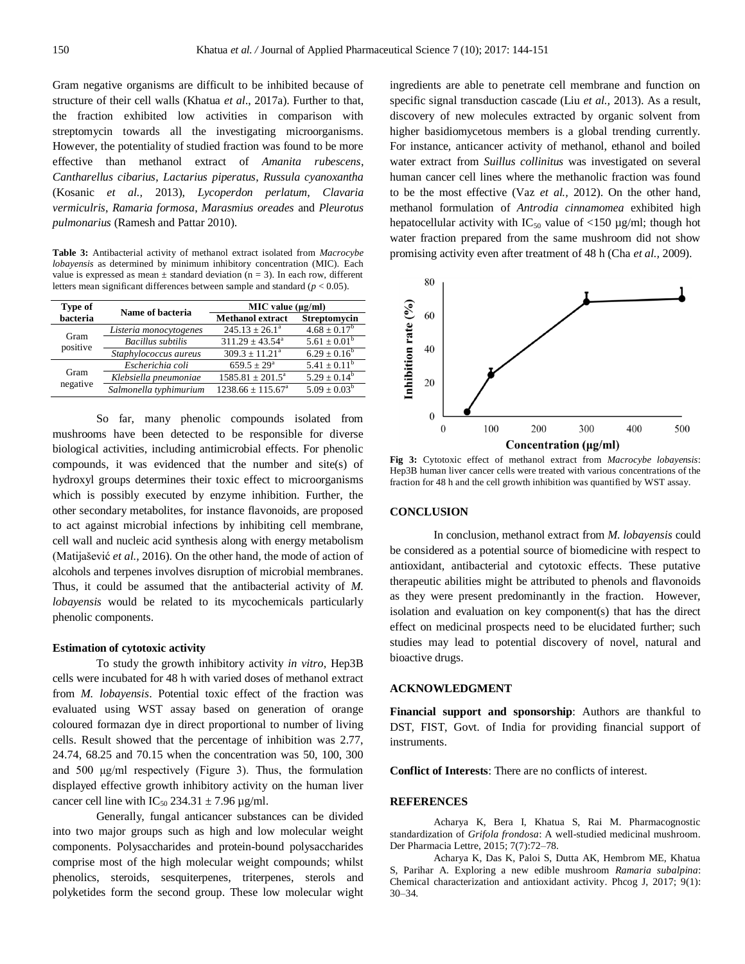Gram negative organisms are difficult to be inhibited because of structure of their cell walls (Khatua *et al*., 2017a). Further to that, the fraction exhibited low activities in comparison with streptomycin towards all the investigating microorganisms. However, the potentiality of studied fraction was found to be more effective than methanol extract of *Amanita rubescens*, *Cantharellus cibarius*, *Lactarius piperatus*, *Russula cyanoxantha*  (Kosanic *et al.,* 2013), *Lycoperdon perlatum*, *Clavaria vermiculris*, *Ramaria formosa*, *Marasmius oreades* and *Pleurotus pulmonarius* (Ramesh and Pattar 2010).

**Table 3:** Antibacterial activity of methanol extract isolated from *Macrocybe lobayensis* as determined by minimum inhibitory concentration (MIC). Each value is expressed as mean  $\pm$  standard deviation (n = 3). In each row, different letters mean significant differences between sample and standard (*p* < 0.05).

| Type of  | Name of bacteria         | $MIC$ value ( $\mu$ g/ml)  |                   |  |
|----------|--------------------------|----------------------------|-------------------|--|
| bacteria |                          | <b>Methanol extract</b>    | Streptomycin      |  |
| Gram     | Listeria monocytogenes   | $245.13 \pm 26.1^a$        | $4.68 \pm 0.17^b$ |  |
| positive | <b>Bacillus</b> subtilis | $311.29 \pm 43.54^{\circ}$ | $5.61 \pm 0.01^b$ |  |
|          | Staphylococcus aureus    | $309.3 \pm 11.21^a$        | $6.29 \pm 0.16^b$ |  |
|          | Escherichia coli         | $659.5 + 29^{\circ}$       | $5.41 + 0.11^b$   |  |
| Gram     | Klebsiella pneumoniae    | $1585.81 \pm 201.5^a$      | $5.29 + 0.14^b$   |  |
| negative | Salmonella typhimurium   | $1238.66 + 115.67a$        | $5.09 \pm 0.03^b$ |  |

So far, many phenolic compounds isolated from mushrooms have been detected to be responsible for diverse biological activities, including antimicrobial effects. For phenolic compounds, it was evidenced that the number and site(s) of hydroxyl groups determines their toxic effect to microorganisms which is possibly executed by enzyme inhibition. Further, the other secondary metabolites, for instance flavonoids, are proposed to act against microbial infections by inhibiting cell membrane, cell wall and nucleic acid synthesis along with energy metabolism (Matijašević *et al.,* 2016). On the other hand, the mode of action of alcohols and terpenes involves disruption of microbial membranes. Thus, it could be assumed that the antibacterial activity of *M. lobayensis* would be related to its mycochemicals particularly phenolic components.

#### **Estimation of cytotoxic activity**

To study the growth inhibitory activity *in vitro*, Hep3B cells were incubated for 48 h with varied doses of methanol extract from *M. lobayensis*. Potential toxic effect of the fraction was evaluated using WST assay based on generation of orange coloured formazan dye in direct proportional to number of living cells. Result showed that the percentage of inhibition was 2.77, 24.74, 68.25 and 70.15 when the concentration was 50, 100, 300 and 500 μg/ml respectively (Figure 3). Thus, the formulation displayed effective growth inhibitory activity on the human liver cancer cell line with  $IC_{50}$  234.31  $\pm$  7.96 µg/ml.

Generally, fungal anticancer substances can be divided into two major groups such as high and low molecular weight components. Polysaccharides and protein-bound polysaccharides comprise most of the high molecular weight compounds; whilst phenolics, steroids, sesquiterpenes, triterpenes, sterols and polyketides form the second group. These low molecular wight ingredients are able to penetrate cell membrane and function on specific signal transduction cascade (Liu *et al.,* 2013). As a result, discovery of new molecules extracted by organic solvent from higher basidiomycetous members is a global trending currently. For instance, anticancer activity of methanol, ethanol and boiled water extract from *Suillus collinitus* was investigated on several human cancer cell lines where the methanolic fraction was found to be the most effective (Vaz *et al.,* 2012). On the other hand, methanol formulation of *Antrodia cinnamomea* exhibited high hepatocellular activity with  $IC_{50}$  value of <150 µg/ml; though hot water fraction prepared from the same mushroom did not show promising activity even after treatment of 48 h (Cha *et al.,* 2009).



**Fig 3:** Cytotoxic effect of methanol extract from *Macrocybe lobayensis*: Hep3B human liver cancer cells were treated with various concentrations of the fraction for 48 h and the cell growth inhibition was quantified by WST assay.

## **CONCLUSION**

In conclusion, methanol extract from *M. lobayensis* could be considered as a potential source of biomedicine with respect to antioxidant, antibacterial and cytotoxic effects. These putative therapeutic abilities might be attributed to phenols and flavonoids as they were present predominantly in the fraction. However, isolation and evaluation on key component(s) that has the direct effect on medicinal prospects need to be elucidated further; such studies may lead to potential discovery of novel, natural and bioactive drugs.

## **ACKNOWLEDGMENT**

**Financial support and sponsorship**: Authors are thankful to DST, FIST, Govt. of India for providing financial support of instruments.

**Conflict of Interests**: There are no conflicts of interest.

# **REFERENCES**

Acharya K, Bera I, Khatua S, Rai M. Pharmacognostic standardization of *Grifola frondosa*: A well-studied medicinal mushroom. Der Pharmacia Lettre, 2015; 7(7):72–78.

Acharya K, Das K, Paloi S, Dutta AK, Hembrom ME, Khatua S, Parihar A. Exploring a new edible mushroom *Ramaria subalpina*: Chemical characterization and antioxidant activity. Phcog J, 2017; 9(1): 30–34.